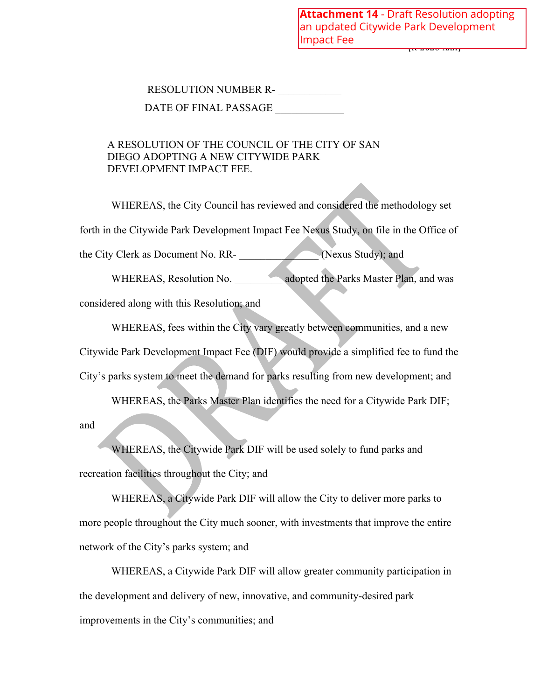ر<del>بند مصن بن</del> **Attachment 14** - Draft Resolution adopting an updated Citywide Park Development Impact Fee

## RESOLUTION NUMBER R-

DATE OF FINAL PASSAGE

## A RESOLUTION OF THE COUNCIL OF THE CITY OF SAN DIEGO ADOPTING A NEW CITYWIDE PARK DEVELOPMENT IMPACT FEE.

WHEREAS, the City Council has reviewed and considered the methodology set forth in the Citywide Park Development Impact Fee Nexus Study, on file in the Office of the City Clerk as Document No. RR- \_\_\_\_\_\_\_\_\_\_\_\_\_\_\_ (Nexus Study); and

WHEREAS, Resolution No.  $\blacksquare$  adopted the Parks Master Plan, and was

considered along with this Resolution; and

WHEREAS, fees within the City vary greatly between communities, and a new Citywide Park Development Impact Fee (DIF) would provide a simplified fee to fund the City's parks system to meet the demand for parks resulting from new development; and

WHEREAS, the Parks Master Plan identifies the need for a Citywide Park DIF;

and

WHEREAS, the Citywide Park DIF will be used solely to fund parks and recreation facilities throughout the City; and

WHEREAS, a Citywide Park DIF will allow the City to deliver more parks to more people throughout the City much sooner, with investments that improve the entire network of the City's parks system; and

WHEREAS, a Citywide Park DIF will allow greater community participation in the development and delivery of new, innovative, and community-desired park improvements in the City's communities; and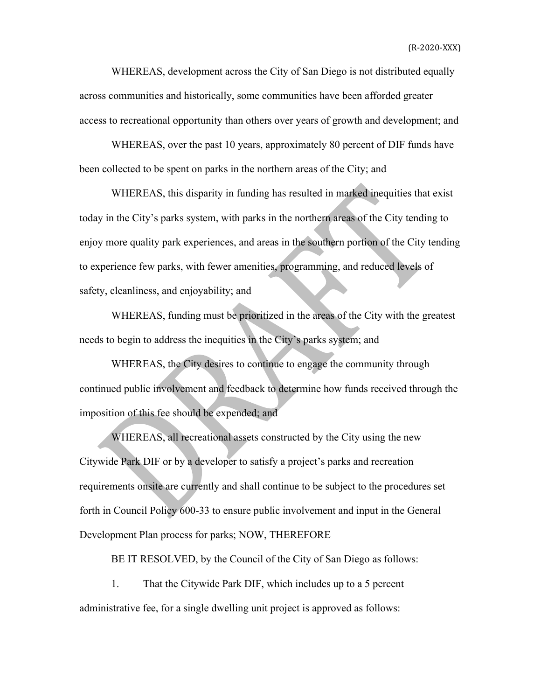WHEREAS, development across the City of San Diego is not distributed equally across communities and historically, some communities have been afforded greater access to recreational opportunity than others over years of growth and development; and

WHEREAS, over the past 10 years, approximately 80 percent of DIF funds have been collected to be spent on parks in the northern areas of the City; and

WHEREAS, this disparity in funding has resulted in marked inequities that exist today in the City's parks system, with parks in the northern areas of the City tending to enjoy more quality park experiences, and areas in the southern portion of the City tending to experience few parks, with fewer amenities, programming, and reduced levels of safety, cleanliness, and enjoyability; and

WHEREAS, funding must be prioritized in the areas of the City with the greatest needs to begin to address the inequities in the City's parks system; and

WHEREAS, the City desires to continue to engage the community through continued public involvement and feedback to determine how funds received through the imposition of this fee should be expended; and

WHEREAS, all recreational assets constructed by the City using the new Citywide Park DIF or by a developer to satisfy a project's parks and recreation requirements onsite are currently and shall continue to be subject to the procedures set forth in Council Policy 600-33 to ensure public involvement and input in the General Development Plan process for parks; NOW, THEREFORE

BE IT RESOLVED, by the Council of the City of San Diego as follows:

1. That the Citywide Park DIF, which includes up to a 5 percent administrative fee, for a single dwelling unit project is approved as follows: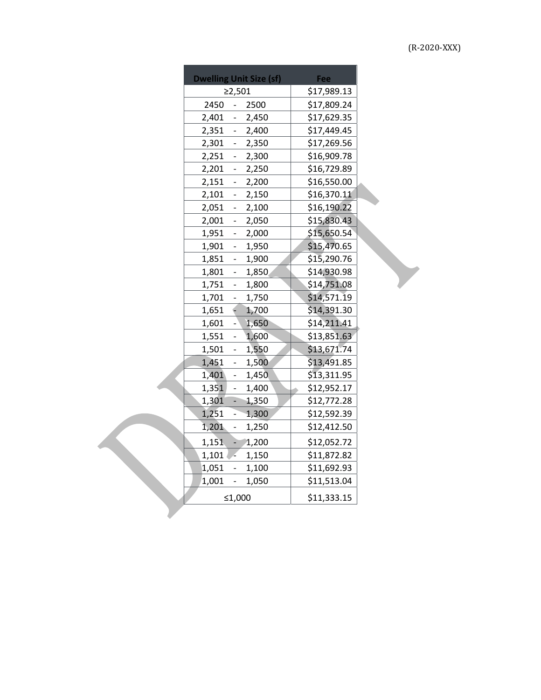| <b>Dwelling Unit Size (sf)</b>                | Fee         |  |
|-----------------------------------------------|-------------|--|
| $\geq 2,501$                                  | \$17,989.13 |  |
| 2450<br>2500<br>$\frac{1}{2}$                 | \$17,809.24 |  |
| 2,401<br>2,450<br>$\overline{\phantom{a}}$    | \$17,629.35 |  |
| 2,351<br>$-2,400$                             | \$17,449.45 |  |
| 2,301<br>$-2,350$                             | \$17,269.56 |  |
| 2,251<br>2,300<br>÷,                          | \$16,909.78 |  |
| 2,201<br>$-2,250$                             | \$16,729.89 |  |
| 2,151<br>$-2,200$                             | \$16,550.00 |  |
| 2,101<br>2,150<br>$\sim 100$                  | \$16,370.11 |  |
| 2,051<br>2,100<br>$\omega_{\rm{eff}}$         | \$16,190.22 |  |
| 2,001<br>2,050<br>$\mathcal{L}_{\mathcal{A}}$ | \$15,830.43 |  |
| 1,951<br>2,000<br>$\sim$                      | \$15,650.54 |  |
| 1,901<br>1,950<br>$\sim$                      | \$15,470.65 |  |
| 1,851<br>1,900<br>$\sim$ $^{-1}$              | \$15,290.76 |  |
| 1,801<br>1,850<br>$\omega_{\rm{eff}}$         | \$14,930.98 |  |
| 1,751<br>1,800<br>$\omega_{\rm{eff}}$         | \$14,751.08 |  |
| 1,701<br>1,750<br>$\mathcal{L}_{\mathcal{A}}$ | \$14,571.19 |  |
| 1,651<br>€<br>1,700                           | \$14,391.30 |  |
| 1,601<br>1,650<br>÷,                          | \$14,211.41 |  |
| 1,551<br>1,600<br>$\sim 100$                  | \$13,851.63 |  |
| 1,501<br>1,550<br>$\omega_{\rm{eff}}$         | \$13,671.74 |  |
| 1,451<br>1,500<br>$\mathbb{Z}^{\mathbb{Z}}$   | \$13,491.85 |  |
| 1,401<br>1,450<br>$\blacksquare$              | \$13,311.95 |  |
| 1,351<br>1,400<br>$\mathcal{L}_{\mathcal{A}}$ | \$12,952.17 |  |
| 1,301<br>$-1,350$                             | \$12,772.28 |  |
| 1,251<br>$-1,300$                             | \$12,592.39 |  |
| 1,201<br>1,250<br>$\frac{1}{2}$               | \$12,412.50 |  |
| 1,151<br>$-1,200$                             | \$12,052.72 |  |
| $1,101$ $\sim$<br>1,150                       | \$11,872.82 |  |
| 1,051<br>1,100                                | \$11,692.93 |  |
| 1,001<br>1,050<br>$\sim$                      | \$11,513.04 |  |
| ≤1,000                                        | \$11,333.15 |  |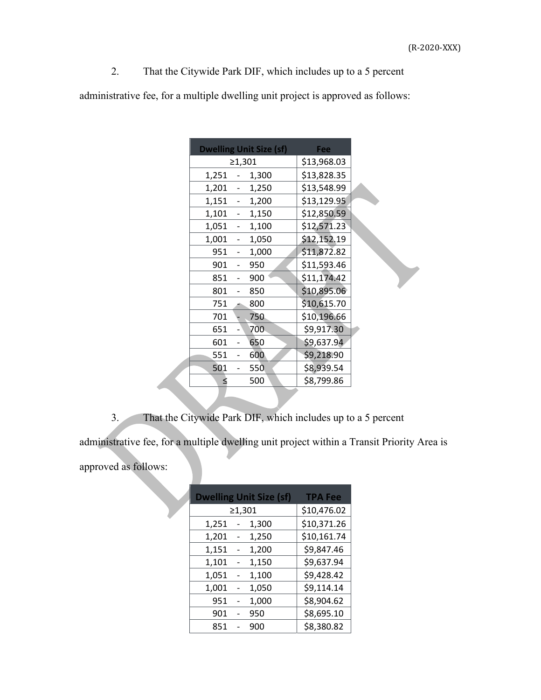2. That the Citywide Park DIF, which includes up to a 5 percent

administrative fee, for a multiple dwelling unit project is approved as follows:

| <b>Dwelling Unit Size (sf)</b> | Fee         |  |
|--------------------------------|-------------|--|
| $\geq 1,301$                   | \$13,968.03 |  |
| 1,251<br>1,300<br>$\sim$       | \$13,828.35 |  |
| 1,201 - 1,250                  | \$13,548.99 |  |
| 1,151 - 1,200                  | \$13,129.95 |  |
| $1,101 - 1,150$                | \$12,850.59 |  |
| $1,051 - 1,100$                | \$12,571.23 |  |
| 1,001<br>$-1,050$              | \$12,152.19 |  |
| 1,000<br>951<br>$\sim 100$     | \$11,872.82 |  |
| 901<br>950                     | \$11,593.46 |  |
| 851<br>900                     | \$11,174.42 |  |
| 801<br>850                     | \$10,895.06 |  |
| 751<br>800                     | \$10,615.70 |  |
| 701<br>750                     | \$10,196.66 |  |
| 651<br>700                     | \$9,917.30  |  |
| 601<br>650                     | \$9,637.94  |  |
| 551<br>600                     | \$9,218.90  |  |
| 501<br>550                     | \$8,939.54  |  |
| 500<br>≤                       | \$8,799.86  |  |

3. That the Citywide Park DIF, which includes up to a 5 percent

administrative fee, for a multiple dwelling unit project within a Transit Priority Area is

approved as follows:

| <b>Dwelling Unit Size (sf)</b> | <b>TPA Fee</b> |
|--------------------------------|----------------|
| ≥1,301                         | \$10,476.02    |
| 1,300<br>1,251                 | \$10,371.26    |
| 1,201<br>1,250                 | \$10,161.74    |
| 1,151<br>1,200                 | \$9,847.46     |
| 1,101<br>1,150                 | \$9,637.94     |
| 1,051<br>1,100                 | \$9,428.42     |
| 1,001<br>1,050                 | \$9,114.14     |
| 1,000<br>951                   | \$8,904.62     |
| 901<br>950                     | \$8,695.10     |
| 851<br>900                     | \$8,380.82     |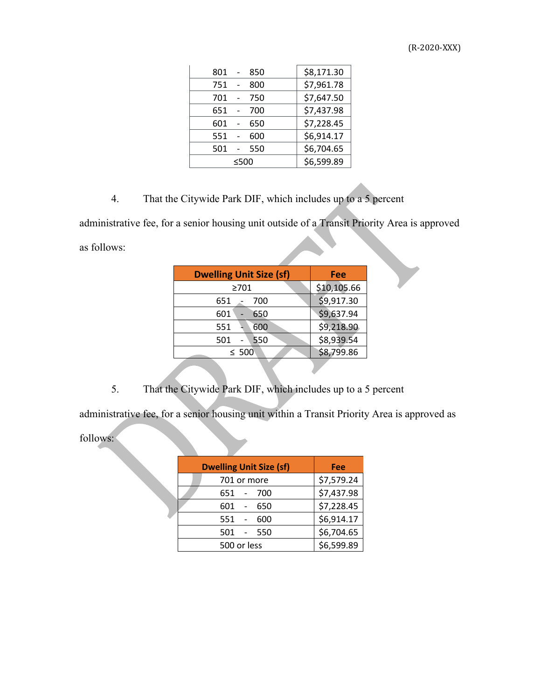| 801<br>850 | \$8,171.30 |
|------------|------------|
| 751<br>800 | \$7,961.78 |
| 701<br>750 | \$7,647.50 |
| 651<br>700 | \$7,437.98 |
| 601<br>650 | \$7,228.45 |
| 551<br>600 | \$6,914.17 |
| 501<br>550 | \$6,704.65 |
| ≤500       | \$6,599.89 |

4. That the Citywide Park DIF, which includes up to a 5 percent

administrative fee, for a senior housing unit outside of a Transit Priority Area is approved as follows:

| <b>Dwelling Unit Size (sf)</b> | Fee         |  |  |
|--------------------------------|-------------|--|--|
| >701                           | \$10,105.66 |  |  |
| 651<br>700                     | \$9,917.30  |  |  |
| 601<br>650                     | \$9,637.94  |  |  |
| 551<br>600                     | \$9,218.90  |  |  |
| 550<br>501                     | \$8,939.54  |  |  |
| $\leq 500$                     | \$8,799.86  |  |  |
|                                |             |  |  |

5. That the Citywide Park DIF, which includes up to a 5 percent

administrative fee, for a senior housing unit within a Transit Priority Area is approved as

follows:

| <b>Dwelling Unit Size (sf)</b> | Fee        |
|--------------------------------|------------|
| 701 or more                    | \$7,579.24 |
| 651 - 700                      | \$7,437.98 |
| 601<br>650<br>$\sim$           | \$7,228.45 |
| 551<br>600                     | \$6,914.17 |
| 501<br>550                     | \$6,704.65 |
| 500 or less                    | \$6,599.89 |

(R-2020-XXX)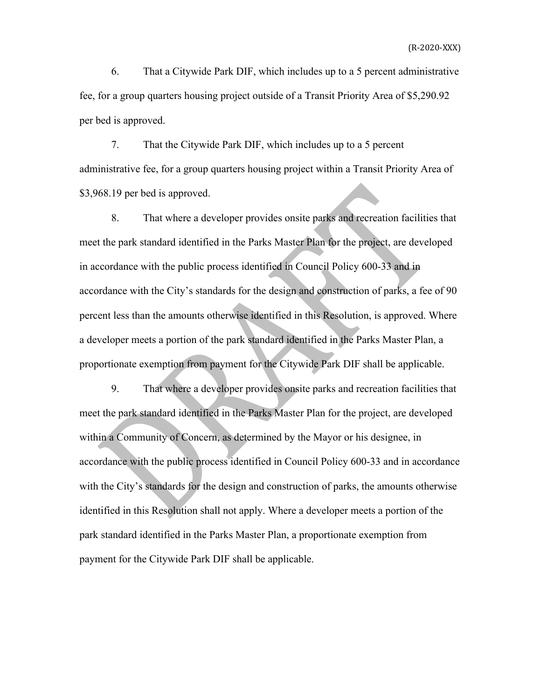6. That a Citywide Park DIF, which includes up to a 5 percent administrative fee, for a group quarters housing project outside of a Transit Priority Area of \$5,290.92 per bed is approved.

 7. That the Citywide Park DIF, which includes up to a 5 percent administrative fee, for a group quarters housing project within a Transit Priority Area of \$3,968.19 per bed is approved.

8. That where a developer provides onsite parks and recreation facilities that meet the park standard identified in the Parks Master Plan for the project, are developed in accordance with the public process identified in Council Policy 600-33 and in accordance with the City's standards for the design and construction of parks, a fee of 90 percent less than the amounts otherwise identified in this Resolution, is approved. Where a developer meets a portion of the park standard identified in the Parks Master Plan, a proportionate exemption from payment for the Citywide Park DIF shall be applicable.

9. That where a developer provides onsite parks and recreation facilities that meet the park standard identified in the Parks Master Plan for the project, are developed within a Community of Concern, as determined by the Mayor or his designee, in accordance with the public process identified in Council Policy 600-33 and in accordance with the City's standards for the design and construction of parks, the amounts otherwise identified in this Resolution shall not apply. Where a developer meets a portion of the park standard identified in the Parks Master Plan, a proportionate exemption from payment for the Citywide Park DIF shall be applicable.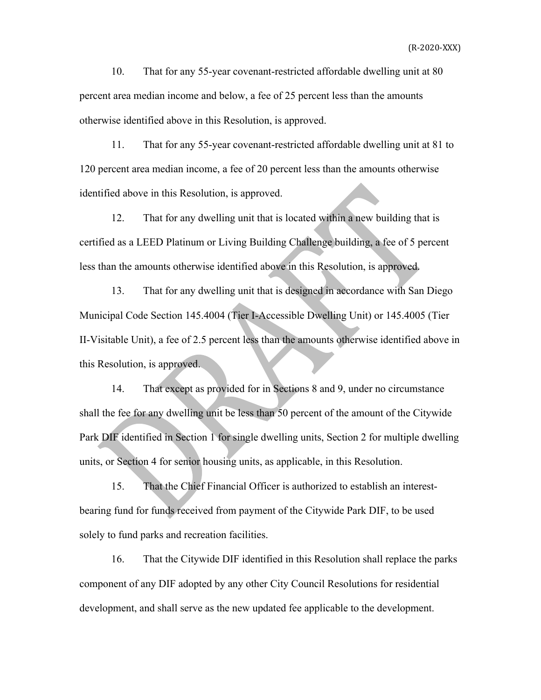10. That for any 55-year covenant-restricted affordable dwelling unit at 80 percent area median income and below, a fee of 25 percent less than the amounts otherwise identified above in this Resolution, is approved.

11. That for any 55-year covenant-restricted affordable dwelling unit at 81 to 120 percent area median income, a fee of 20 percent less than the amounts otherwise identified above in this Resolution, is approved.

12. That for any dwelling unit that is located within a new building that is certified as a LEED Platinum or Living Building Challenge building, a fee of 5 percent less than the amounts otherwise identified above in this Resolution, is approved.

13. That for any dwelling unit that is designed in accordance with San Diego Municipal Code Section 145.4004 (Tier I-Accessible Dwelling Unit) or 145.4005 (Tier II-Visitable Unit), a fee of 2.5 percent less than the amounts otherwise identified above in this Resolution, is approved.

14. That except as provided for in Sections 8 and 9, under no circumstance shall the fee for any dwelling unit be less than 50 percent of the amount of the Citywide Park DIF identified in Section 1 for single dwelling units, Section 2 for multiple dwelling units, or Section 4 for senior housing units, as applicable, in this Resolution.

 15. That the Chief Financial Officer is authorized to establish an interestbearing fund for funds received from payment of the Citywide Park DIF, to be used solely to fund parks and recreation facilities.

 16. That the Citywide DIF identified in this Resolution shall replace the parks component of any DIF adopted by any other City Council Resolutions for residential development, and shall serve as the new updated fee applicable to the development.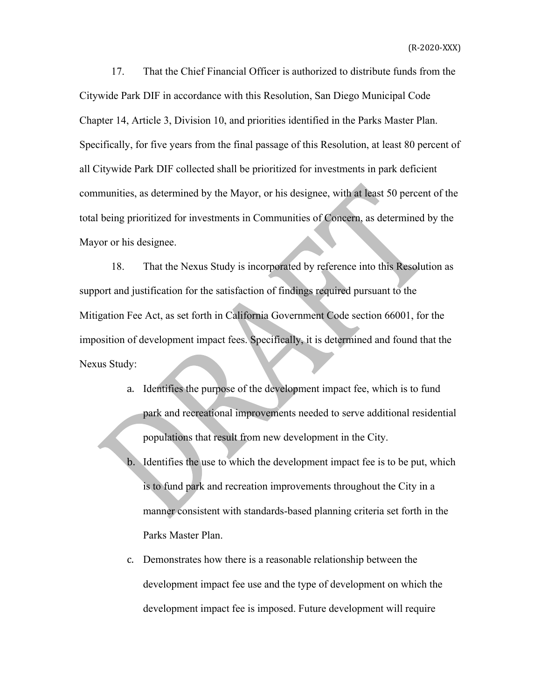17. That the Chief Financial Officer is authorized to distribute funds from the Citywide Park DIF in accordance with this Resolution, San Diego Municipal Code Chapter 14, Article 3, Division 10, and priorities identified in the Parks Master Plan. Specifically, for five years from the final passage of this Resolution, at least 80 percent of all Citywide Park DIF collected shall be prioritized for investments in park deficient communities, as determined by the Mayor, or his designee, with at least 50 percent of the total being prioritized for investments in Communities of Concern, as determined by the Mayor or his designee.

18. That the Nexus Study is incorporated by reference into this Resolution as support and justification for the satisfaction of findings required pursuant to the Mitigation Fee Act, as set forth in California Government Code section 66001, for the imposition of development impact fees. Specifically, it is determined and found that the Nexus Study:

- a. Identifies the purpose of the development impact fee, which is to fund park and recreational improvements needed to serve additional residential populations that result from new development in the City.
- b. Identifies the use to which the development impact fee is to be put, which is to fund park and recreation improvements throughout the City in a manner consistent with standards-based planning criteria set forth in the Parks Master Plan.
- c. Demonstrates how there is a reasonable relationship between the development impact fee use and the type of development on which the development impact fee is imposed. Future development will require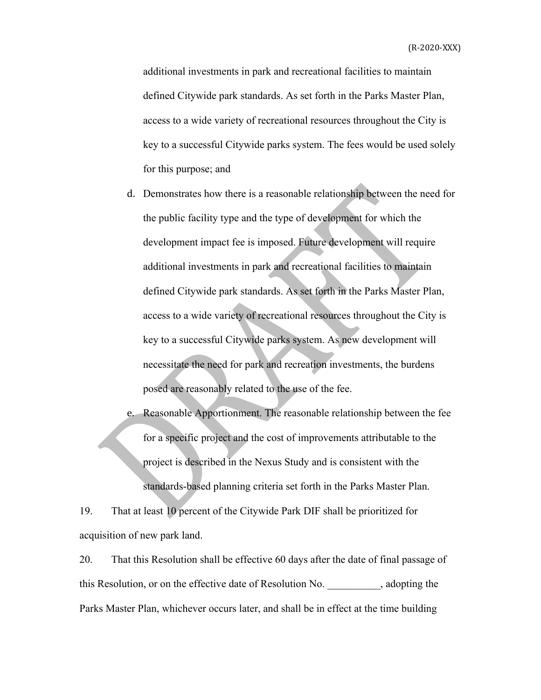additional investments in park and recreational facilities to maintain defined Citywide park standards. As set forth in the Parks Master Plan, access to a wide variety of recreational resources throughout the City is key to a successful Citywide parks system. The fees would be used solely for this purpose; and

d. Demonstrates how there is a reasonable relationship between the need for the public facility type and the type of development for which the development impact fee is imposed. Future development will require additional investments in park and recreational facilities to maintain defined Citywide park standards. As set forth in the Parks Master Plan, access to a wide variety of recreational resources throughout the City is key to a successful Citywide parks system. As new development will necessitate the need for park and recreation investments, the burdens posed are reasonably related to the use of the fee.

e. Reasonable Apportionment. The reasonable relationship between the fee for a specific project and the cost of improvements attributable to the project is described in the Nexus Study and is consistent with the standards-based planning criteria set forth in the Parks Master Plan.

19. That at least 10 percent of the Citywide Park DIF shall be prioritized for acquisition of new park land.

20. That this Resolution shall be effective 60 days after the date of final passage of this Resolution, or on the effective date of Resolution No. \_\_\_\_\_\_\_\_\_\_, adopting the Parks Master Plan, whichever occurs later, and shall be in effect at the time building